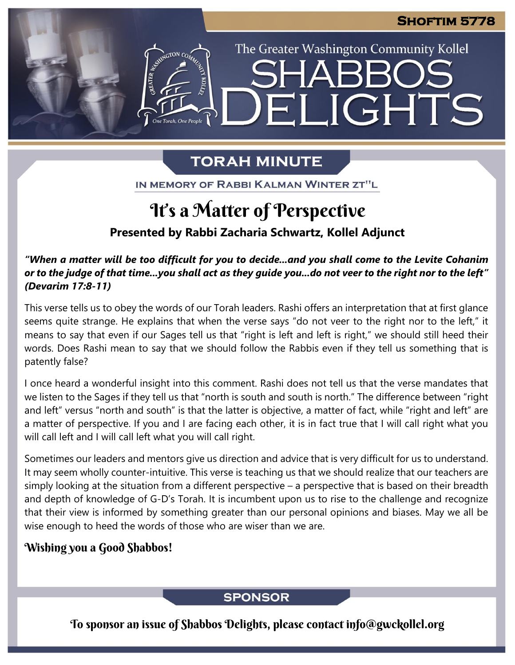The Greater Washington Community Kollel

LIGHTS

## **TORAH MINUTE**

EI

IN MEMORY OF RABBI KALMAN WINTER ZT"L

## It's a Matter of Perspective

**Presented by Rabbi Zacharia Schwartz, Kollel Adjunct**

*"When a matter will be too difficult for you to decide...and you shall come to the Levite Cohanim* or to the judge of that time...you shall act as they guide you...do not veer to the right nor to the left" *(Devarim 17:8-11)*

This verse tells us to obey the words of our Torah leaders. Rashi offers an interpretation that at first glance seems quite strange. He explains that when the verse says "do not veer to the right nor to the left," it means to say that even if our Sages tell us that "right is left and left is right," we should still heed their words. Does Rashi mean to say that we should follow the Rabbis even if they tell us something that is patently false?

I once heard a wonderful insight into this comment. Rashi does not tell us that the verse mandates that we listen to the Sages if they tell us that "north is south and south is north." The difference between "right and left" versus "north and south" is that the latter is objective, a matter of fact, while "right and left" are a matter of perspective. If you and I are facing each other, it is in fact true that I will call right what you will call left and I will call left what you will call right.

Sometimes our leaders and mentors give us direction and advice that is very difficult for us to understand. It may seem wholly counter-intuitive. This verse is teaching us that we should realize that our teachers are simply looking at the situation from a different perspective – a perspective that is based on their breadth and depth of knowledge of G-D's Torah. It is incumbent upon us to rise to the challenge and recognize that their view is informed by something greater than our personal opinions and biases. May we all be wise enough to heed the words of those who are wiser than we are.

## Wishing you a Good Shabbos!

## **SPONSOR**

To sponsor an issue of Shabbos Delights, please contact info@gwckollel.org